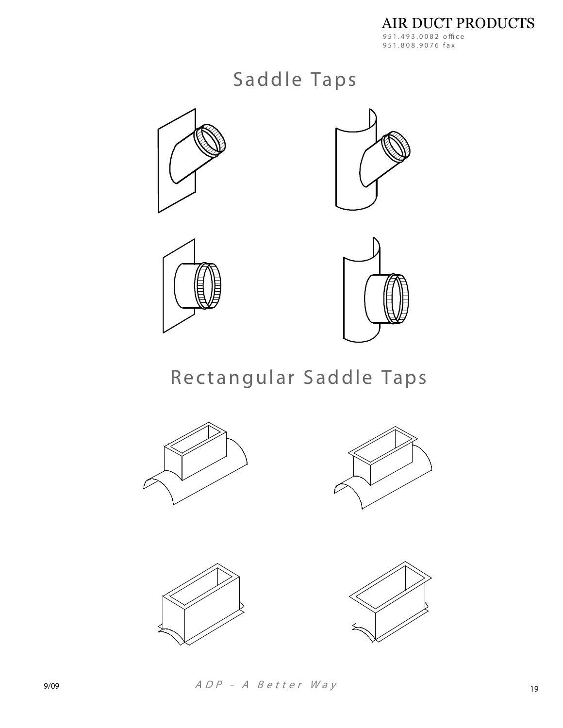## Saddle Taps









Rectangular Saddle Taps







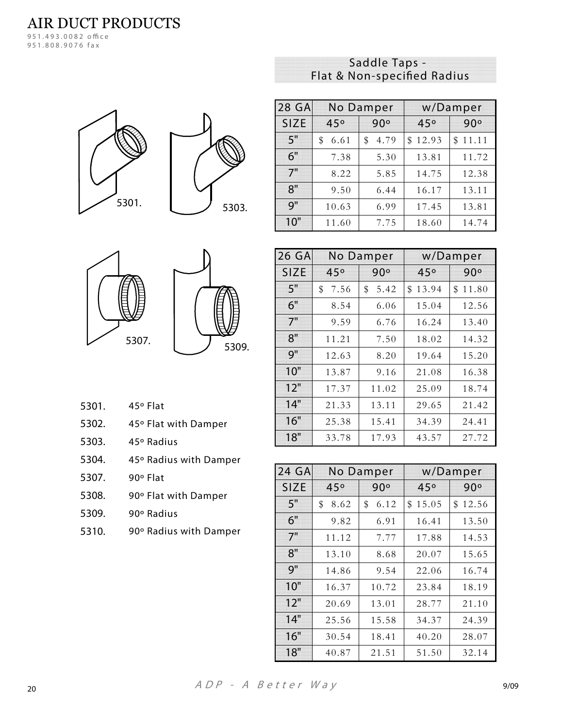951.808.9076 fax





| 28 GA       | <b>No Damper</b> |            |             | w/Damper    |
|-------------|------------------|------------|-------------|-------------|
| <b>SIZE</b> | 45°              | 90°        | 45°         | 90°         |
| 5"          | 6.61<br>\$       | 4.79<br>\$ | 12.93<br>\$ | 11.11<br>\$ |
| 6"          | 7.38             | 5.30       | 13.81       | 11.72       |
| 7"          | 8.22             | 5.85       | 14.75       | 12.38       |
| 8"          | 9.50             | 6.44       | 16.17       | 13.11       |
| 9"          | 10.63            | 6.99       | 17.45       | 13.81       |
| 10"         | 11.60            | 7.75       | 18.60       | 14.74       |



| 5309. |
|-------|

| 5301. | 45° Flat |
|-------|----------|
|       |          |

- 5302. 45° Flat with Damper
- 5303. 45° Radius
- 45° Radius with Damper 5304.
- 5307. 90° Flat
- 90° Flat with Damper 5308.
- 5309. 90° Radius
- 5310. 90° Radius with Damper

| 26 GA       | No Damper  |            |             | w/Damper    |
|-------------|------------|------------|-------------|-------------|
| <b>SIZE</b> | 45°        | 90°        | 45°         | 90°         |
| 5"          | \$<br>7.56 | 5.42<br>\$ | 13.94<br>\$ | \$<br>11.80 |
| 6"          | 8.54       | 6.06       | 15.04       | 12.56       |
| 7"          | 9.59       | 6.76       | 16.24       | 13.40       |
| 8"          | 11.21      | 7.50       | 18.02       | 14.32       |
| 9"          | 12.63      | 8.20       | 19.64       | 15.20       |
| 10"         | 13.87      | 9.16       | 21.08       | 16.38       |
| 12"         | 17.37      | 11.02      | 25.09       | 18.74       |
| 14"         | 21.33      | 13.11      | 29.65       | 21.42       |
| 16"         | 25.38      | 15.41      | 34.39       | 24.41       |
| 18"         | 33.78      | 17.93      | 43.57       | 27.72       |

| 24 GA       | <b>No Damper</b> |            |             | w/Damper    |
|-------------|------------------|------------|-------------|-------------|
| <b>SIZE</b> | 45°              | 90°        | 45°         | 90°         |
| 5"          | \$<br>8.62       | 6.12<br>\$ | 15.05<br>\$ | 12.56<br>\$ |
| 6"          | 9.82             | 6.91       | 16.41       | 13.50       |
| 7"          | 11.12            | 7.77       | 17.88       | 14.53       |
| 8"          | 13.10            | 8.68       | 20.07       | 15.65       |
| 9"          | 14.86            | 9.54       | 22.06       | 16.74       |
| 10"         | 16.37            | 10.72      | 23.84       | 18.19       |
| 12"         | 20.69            | 13.01      | 28.77       | 21.10       |
| 14"         | 25.56            | 15.58      | 34.37       | 24.39       |
| 16"         | 30.54            | 18.41      | 40.20       | 28.07       |
| 18"         | 40.87            | 21.51      | 51.50       | 32.14       |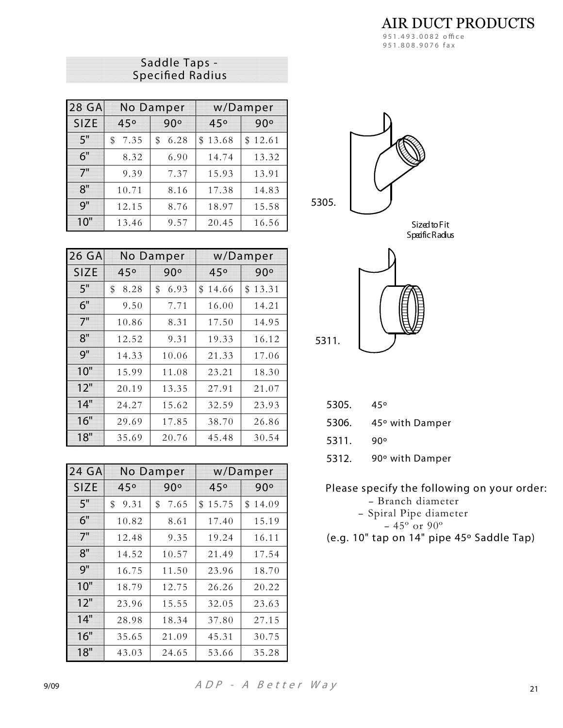**AIR DUCT PRODUCTS** 951.493.0082 office 951.808.9076 fax

| Saddle Taps -           |  |
|-------------------------|--|
| <b>Specified Radius</b> |  |

| 28 GA | <b>No Damper</b> |            |         | w/Damper |
|-------|------------------|------------|---------|----------|
| SIZE  | 45°              | 90°        | 45°     | 90°      |
| 5"    | 7.35<br>\$       | 6.28<br>\$ | \$13.68 | \$12.61  |
| 6"    | 8.32             | 6.90       | 14.74   | 13.32    |
| 7"    | 9.39             | 7.37       | 15.93   | 13.91    |
| 8"    | 10.71            | 8.16       | 17.38   | 14.83    |
| Q''   | 12.15            | 8.76       | 18.97   | 15.58    |
| 10"   | 13.46            | 9.57       | 20.45   | 16.56    |

| 26 GA       | <b>No Damper</b> |            |         | w/Damper    |
|-------------|------------------|------------|---------|-------------|
| <b>SIZE</b> | 45°              | 90°        | 45°     | 90°         |
| 5"          | \$<br>8.28       | \$<br>6.93 | \$14.66 | \$<br>13.31 |
| 6"          | 9.50             | 7.71       | 16.00   | 14.21       |
| 7"          | 10.86            | 8.31       | 17.50   | 14.95       |
| 8"          | 12.52            | 9.31       | 19.33   | 16.12       |
| 9"          | 14.33            | 10.06      | 21.33   | 17.06       |
| 10"         | 15.99            | 11.08      | 23.21   | 18.30       |
| 12"         | 20.19            | 13.35      | 27.91   | 21.07       |
| 14"         | 24.27            | 15.62      | 32.59   | 23.93       |
| 16"         | 29.69            | 17.85      | 38.70   | 26.86       |
| 18"         | 35.69            | 20.76      | 45.48   | 30.54       |

| 24 GA       | No Damper  |            |             | w/Damper    |
|-------------|------------|------------|-------------|-------------|
| <b>SIZE</b> | 45°        | 90°        | 45°         | 90°         |
| 5"          | \$<br>9.31 | \$<br>7.65 | 15.75<br>\$ | \$<br>14.09 |
| 6"          | 10.82      | 8.61       | 17.40       | 15.19       |
| 7"          | 12.48      | 9.35       | 19.24       | 16.11       |
| 8"          | 14.52      | 10.57      | 21.49       | 17.54       |
| 9"          | 16.75      | 11.50      | 23.96       | 18.70       |
| 10"         | 18.79      | 12.75      | 26.26       | 20.22       |
| 12"         | 23.96      | 15.55      | 32.05       | 23.63       |
| 14"         | 28.98      | 18.34      | 37.80       | 27.15       |
| 16"         | 35.65      | 21.09      | 45.31       | 30.75       |
| 18"         | 43.03      | 24.65      | 53.66       | 35.28       |







| 5305. | 45° |
|-------|-----|
|-------|-----|

45° with Damper 5306.

5311.  $90°$ 

5312. 90° with Damper

Please specify the following on your order:

- Branch diameter

- Spiral Pipe diameter

 $-45^\circ$  or 90°

(e.g. 10" tap on 14" pipe 45° Saddle Tap)